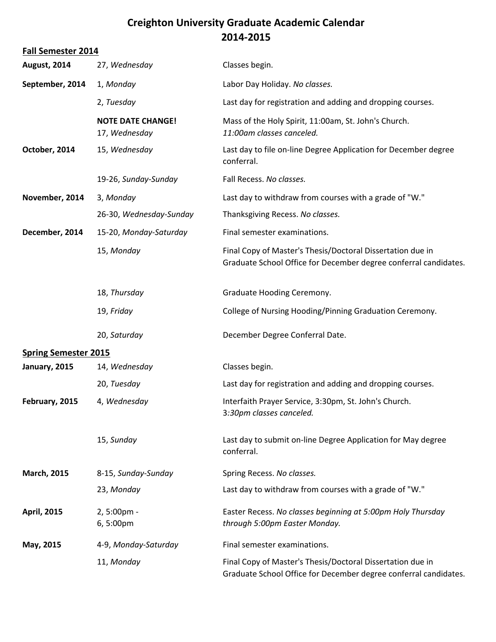## **Creighton University Graduate Academic Calendar 2014-2015**

| <b>Fall Semester 2014</b>   |                                           |                                                                                                                                |
|-----------------------------|-------------------------------------------|--------------------------------------------------------------------------------------------------------------------------------|
| <b>August, 2014</b>         | 27, Wednesday                             | Classes begin.                                                                                                                 |
| September, 2014             | 1, Monday                                 | Labor Day Holiday. No classes.                                                                                                 |
|                             | 2, Tuesday                                | Last day for registration and adding and dropping courses.                                                                     |
|                             | <b>NOTE DATE CHANGE!</b><br>17, Wednesday | Mass of the Holy Spirit, 11:00am, St. John's Church.<br>11:00am classes canceled.                                              |
| October, 2014               | 15, Wednesday                             | Last day to file on-line Degree Application for December degree<br>conferral.                                                  |
|                             | 19-26, Sunday-Sunday                      | Fall Recess. No classes.                                                                                                       |
| November, 2014              | 3, Monday                                 | Last day to withdraw from courses with a grade of "W."                                                                         |
|                             | 26-30, Wednesday-Sunday                   | Thanksgiving Recess. No classes.                                                                                               |
| December, 2014              | 15-20, Monday-Saturday                    | Final semester examinations.                                                                                                   |
|                             | 15, Monday                                | Final Copy of Master's Thesis/Doctoral Dissertation due in<br>Graduate School Office for December degree conferral candidates. |
|                             | 18, Thursday                              | Graduate Hooding Ceremony.                                                                                                     |
|                             | 19, Friday                                | College of Nursing Hooding/Pinning Graduation Ceremony.                                                                        |
|                             | 20, Saturday                              | December Degree Conferral Date.                                                                                                |
| <b>Spring Semester 2015</b> |                                           |                                                                                                                                |
| January, 2015               | 14, Wednesday                             | Classes begin.                                                                                                                 |
|                             | 20, Tuesday                               | Last day for registration and adding and dropping courses.                                                                     |
| February, 2015              | 4, Wednesday                              | Interfaith Prayer Service, 3:30pm, St. John's Church.<br>3:30pm classes canceled.                                              |
|                             | 15, Sunday                                | Last day to submit on-line Degree Application for May degree<br>conferral.                                                     |
| <b>March, 2015</b>          | 8-15, Sunday-Sunday                       | Spring Recess. No classes.                                                                                                     |
|                             | 23, Monday                                | Last day to withdraw from courses with a grade of "W."                                                                         |
| <b>April, 2015</b>          | 2,5:00pm -<br>6,5:00pm                    | Easter Recess. No classes beginning at 5:00pm Holy Thursday<br>through 5:00pm Easter Monday.                                   |
| May, 2015                   | 4-9, Monday-Saturday                      | Final semester examinations.                                                                                                   |
|                             | 11, Monday                                | Final Copy of Master's Thesis/Doctoral Dissertation due in<br>Graduate School Office for December degree conferral candidates. |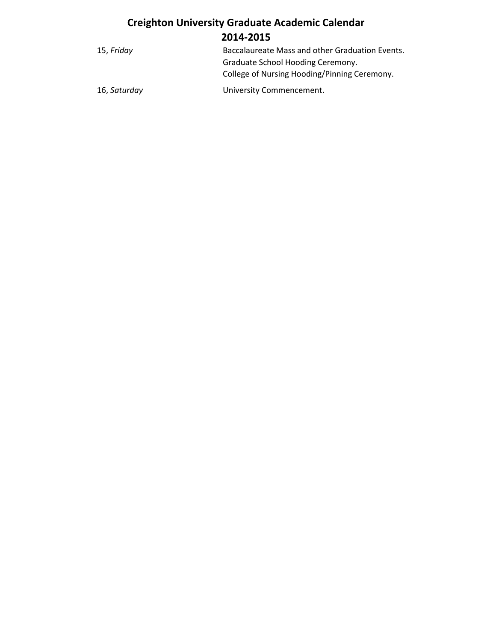## **Creighton University Graduate Academic Calendar 2014-2015**

| 15, Friday   | Baccalaureate Mass and other Graduation Events. |
|--------------|-------------------------------------------------|
|              | Graduate School Hooding Ceremony.               |
|              | College of Nursing Hooding/Pinning Ceremony.    |
| 16, Saturday | University Commencement.                        |